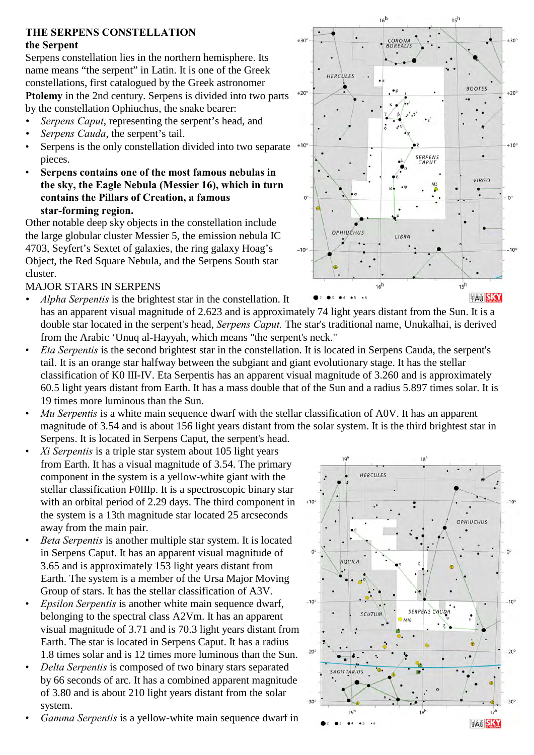# **THE SERPENS CONSTELLATION**

#### **the Serpent**

Serpens constellation lies in the northern hemisphere. Its name means "the serpent" in Latin. It is one of the Greek constellations, first catalogued by the Greek astronomer **Ptolemy** in the 2nd century. Serpens is divided into two parts by the constellation Ophiuchus, the snake bearer:

- *Serpens Caput*, representing the serpent's head, and
- *Serpens Cauda*, the serpent's tail.
- Serpens is the only constellation divided into two separate  $+10^{\circ}$ pieces.
- **Serpens contains one of the most famous nebulas in the sky, the Eagle Nebula (Messier 16), which in turn contains the Pillars of Creation, a famous star-forming region.**

Other notable deep sky objects in the constellation include the large globular cluster Messier 5, the emission nebula IC 4703, Seyfert's Sextet of galaxies, the ring galaxy Hoag's Object, the Red Square Nebula, and the Serpens South star cluster.

#### MAJOR STARS IN SERPENS

- *Alpha Serpentis* is the brightest star in the constellation. It has an apparent visual magnitude of 2.623 and is approximately 74 light years distant from the Sun. It is a double star located in the serpent's head, *Serpens Caput.* The star's traditional name, Unukalhai, is derived from the Arabic 'Unuq al-Hayyah, which means "the serpent's neck."
- *Eta Serpentis* is the second brightest star in the constellation. It is located in Serpens Cauda, the serpent's tail. It is an orange star halfway between the subgiant and giant evolutionary stage. It has the stellar classification of K0 III-IV. Eta Serpentis has an apparent visual magnitude of 3.260 and is approximately 60.5 light years distant from Earth. It has a mass double that of the Sun and a radius 5.897 times solar. It is 19 times more luminous than the Sun.
- *Mu Serpentis* is a white main sequence dwarf with the stellar classification of A0V. It has an apparent magnitude of 3.54 and is about 156 light years distant from the solar system. It is the third brightest star in Serpens. It is located in Serpens Caput, the serpent's head.
- *Xi Serpentis* is a triple star system about 105 light years from Earth. It has a visual magnitude of 3.54. The primary component in the system is a yellow-white giant with the stellar classification F0IIIp. It is a spectroscopic binary star with an orbital period of 2.29 days. The third component in the system is a 13th magnitude star located 25 arcseconds away from the main pair.
- *Beta Serpentis* is another multiple star system. It is located in Serpens Caput. It has an apparent visual magnitude of 3.65 and is approximately 153 light years distant from Earth. The system is a member of the Ursa Major Moving Group of stars. It has the stellar classification of A3V.
- *Epsilon Serpentis* is another white main sequence dwarf, belonging to the spectral class A2Vm. It has an apparent visual magnitude of 3.71 and is 70.3 light years distant from Earth. The star is located in Serpens Caput. It has a radius 1.8 times solar and is 12 times more luminous than the Sun.
- *Delta Serpentis* is composed of two binary stars separated by 66 seconds of arc. It has a combined apparent magnitude of 3.80 and is about 210 light years distant from the solar system.
- *Gamma Serpentis* is a yellow-white main sequence dwarf in



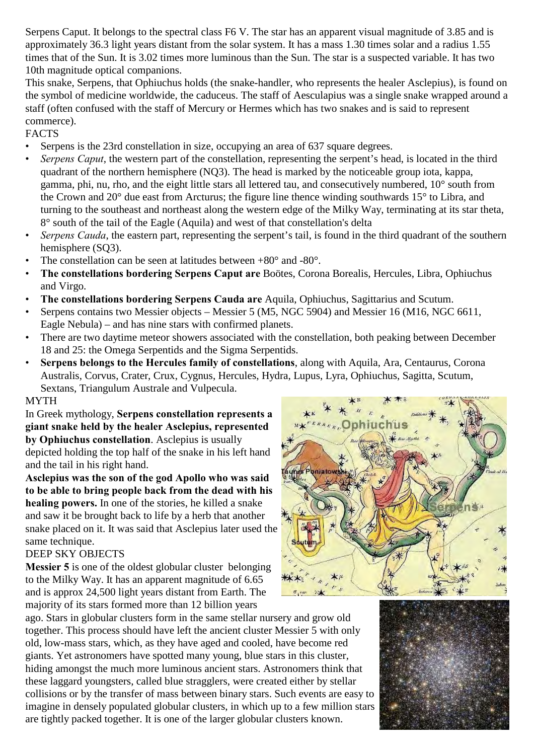Serpens Caput. It belongs to the spectral class F6 V. The star has an apparent visual magnitude of 3.85 and is approximately 36.3 light years distant from the solar system. It has a mass 1.30 times solar and a radius 1.55 times that of the Sun. It is 3.02 times more luminous than the Sun. The star is a suspected variable. It has two 10th magnitude optical companions.

This snake, Serpens, that Ophiuchus holds (the snake-handler, who represents the healer Asclepius), is found on the symbol of medicine worldwide, the caduceus. The staff of Aesculapius was a single snake wrapped around a staff (often confused with the staff of Mercury or Hermes which has two snakes and is said to represent commerce).

# FACTS

- Serpens is the 23rd constellation in size, occupying an area of 637 square degrees.
- *Serpens Caput*, the western part of the constellation, representing the serpent's head, is located in the third quadrant of the northern hemisphere (NQ3). The head is marked by the noticeable group iota, kappa, gamma, phi, nu, rho, and the eight little stars all lettered tau, and consecutively numbered, 10° south from the Crown and 20° due east from Arcturus; the figure line thence winding southwards 15° to Libra, and turning to the southeast and northeast along the western edge of the Milky Way, terminating at its star theta, 8° south of the tail of the Eagle (Aquila) and west of that constellation's delta
- *Serpens Cauda*, the eastern part, representing the serpent's tail, is found in the third quadrant of the southern hemisphere (SQ3).
- The constellation can be seen at latitudes between  $+80^{\circ}$  and  $-80^{\circ}$ .
- **The constellations bordering Serpens Caput are** Boötes, Corona Borealis, Hercules, Libra, Ophiuchus and Virgo.
- **The constellations bordering Serpens Cauda are** Aquila, Ophiuchus, Sagittarius and Scutum.
- Serpens contains two Messier objects Messier 5 (M5, NGC 5904) and Messier 16 (M16, NGC 6611, Eagle Nebula) – and has nine stars with confirmed planets.
- There are two daytime meteor showers associated with the constellation, both peaking between December 18 and 25: the Omega Serpentids and the Sigma Serpentids.
- **Serpens belongs to the Hercules family of constellations**, along with Aquila, Ara, Centaurus, Corona Australis, Corvus, Crater, Crux, Cygnus, Hercules, Hydra, Lupus, Lyra, Ophiuchus, Sagitta, Scutum, Sextans, Triangulum Australe and Vulpecula.

#### MYTH

In Greek mythology, **Serpens constellation represents a giant snake held by the healer Asclepius, represented by Ophiuchus constellation**. Asclepius is usually depicted holding the top half of the snake in his left hand and the tail in his right hand.

**Asclepius was the son of the god Apollo who was said to be able to bring people back from the dead with his healing powers.** In one of the stories, he killed a snake and saw it be brought back to life by a herb that another snake placed on it. It was said that Asclepius later used the same technique.

# DEEP SKY OBJECTS

**Messier 5** is one of the oldest globular cluster belonging to the Milky Way. It has an apparent magnitude of 6.65 and is approx 24,500 light years distant from Earth. The majority of its stars formed more than 12 billion years

ago. Stars in globular clusters form in the same stellar nursery and grow old together. This process should have left the ancient cluster Messier 5 with only old, low-mass stars, which, as they have aged and cooled, have become red giants. Yet astronomers have spotted many young, blue stars in this cluster, hiding amongst the much more luminous ancient stars. Astronomers think that these laggard youngsters, called blue stragglers, were created either by stellar collisions or by the transfer of mass between binary stars. Such events are easy to imagine in densely populated globular clusters, in which up to a few million stars are tightly packed together. It is one of the larger globular clusters known.